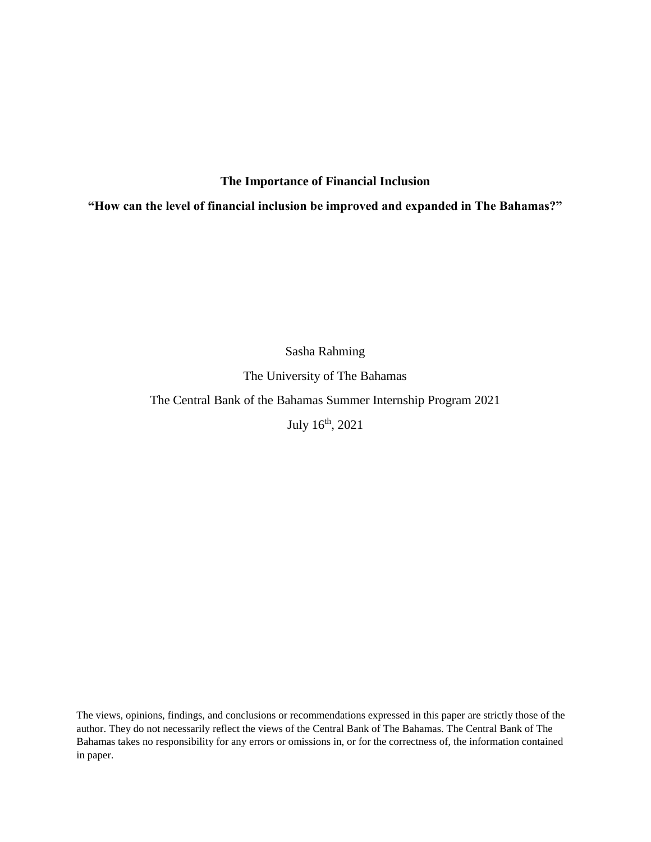# **The Importance of Financial Inclusion**

**"How can the level of financial inclusion be improved and expanded in The Bahamas?"**

Sasha Rahming

The University of The Bahamas

The Central Bank of the Bahamas Summer Internship Program 2021

July 16th, 2021

The views, opinions, findings, and conclusions or recommendations expressed in this paper are strictly those of the author. They do not necessarily reflect the views of the Central Bank of The Bahamas. The Central Bank of The Bahamas takes no responsibility for any errors or omissions in, or for the correctness of, the information contained in paper.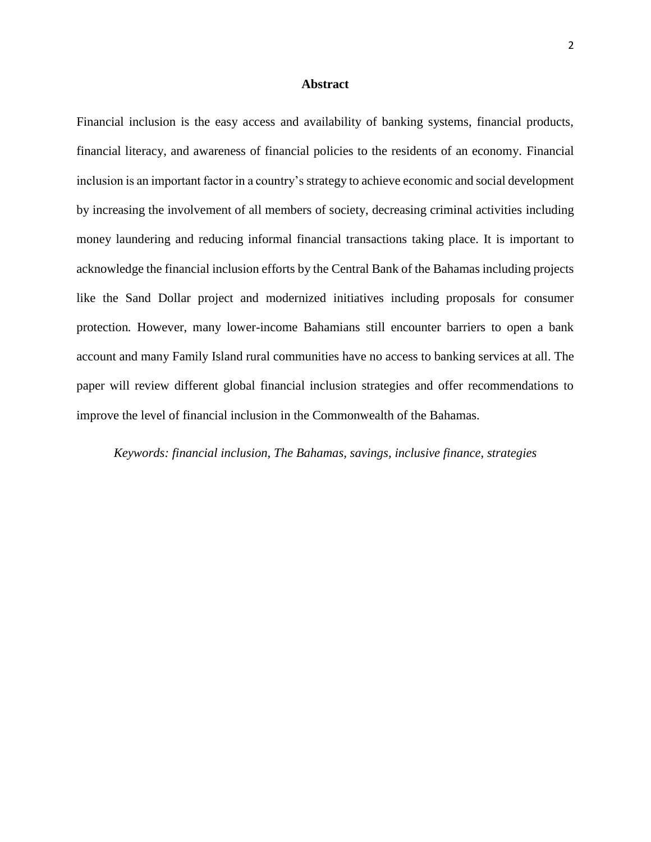#### **Abstract**

Financial inclusion is the easy access and availability of banking systems, financial products, financial literacy, and awareness of financial policies to the residents of an economy. Financial inclusion is an important factor in a country's strategy to achieve economic and social development by increasing the involvement of all members of society, decreasing criminal activities including money laundering and reducing informal financial transactions taking place. It is important to acknowledge the financial inclusion efforts by the Central Bank of the Bahamas including projects like the Sand Dollar project and modernized initiatives including proposals for consumer protection*.* However, many lower-income Bahamians still encounter barriers to open a bank account and many Family Island rural communities have no access to banking services at all. The paper will review different global financial inclusion strategies and offer recommendations to improve the level of financial inclusion in the Commonwealth of the Bahamas.

*Keywords: financial inclusion, The Bahamas, savings, inclusive finance, strategies*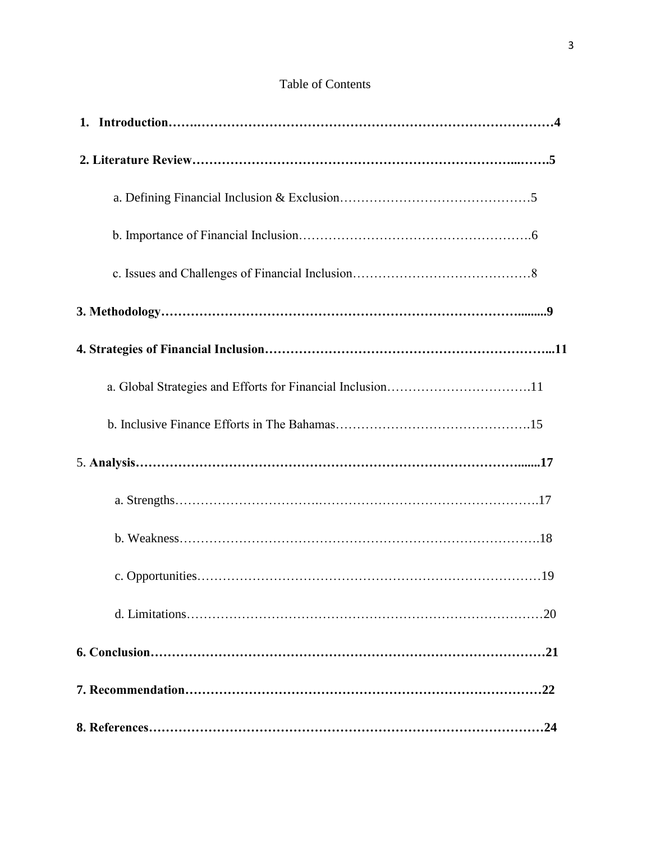# Table of Contents

| a. Global Strategies and Efforts for Financial Inclusion11 |
|------------------------------------------------------------|
|                                                            |
|                                                            |
|                                                            |
|                                                            |
|                                                            |
|                                                            |
|                                                            |
| .22                                                        |
|                                                            |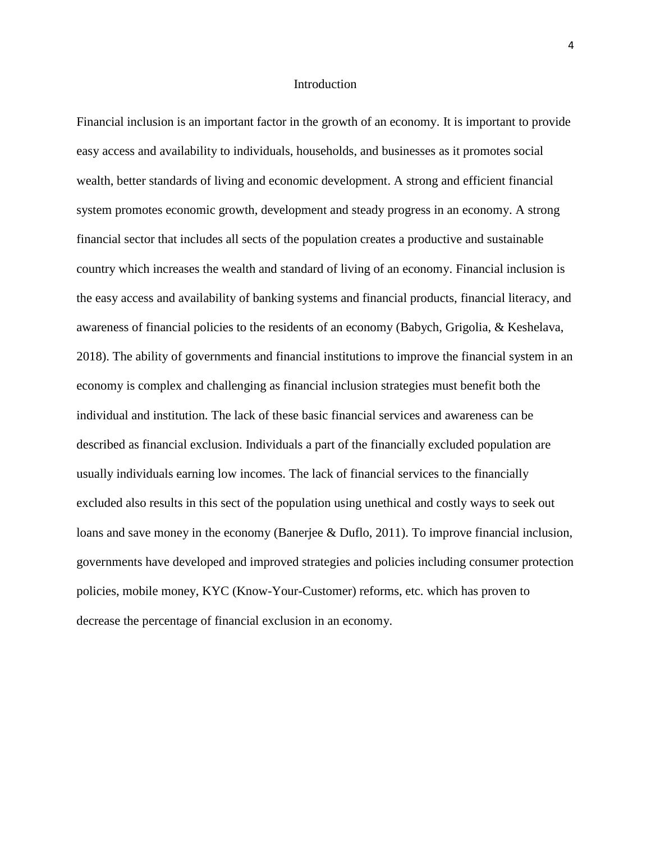#### Introduction

Financial inclusion is an important factor in the growth of an economy. It is important to provide easy access and availability to individuals, households, and businesses as it promotes social wealth, better standards of living and economic development. A strong and efficient financial system promotes economic growth, development and steady progress in an economy. A strong financial sector that includes all sects of the population creates a productive and sustainable country which increases the wealth and standard of living of an economy. Financial inclusion is the easy access and availability of banking systems and financial products, financial literacy, and awareness of financial policies to the residents of an economy (Babych, Grigolia, & Keshelava, 2018). The ability of governments and financial institutions to improve the financial system in an economy is complex and challenging as financial inclusion strategies must benefit both the individual and institution. The lack of these basic financial services and awareness can be described as financial exclusion. Individuals a part of the financially excluded population are usually individuals earning low incomes. The lack of financial services to the financially excluded also results in this sect of the population using unethical and costly ways to seek out loans and save money in the economy (Banerjee & Duflo, 2011). To improve financial inclusion, governments have developed and improved strategies and policies including consumer protection policies, mobile money, KYC (Know-Your-Customer) reforms, etc. which has proven to decrease the percentage of financial exclusion in an economy.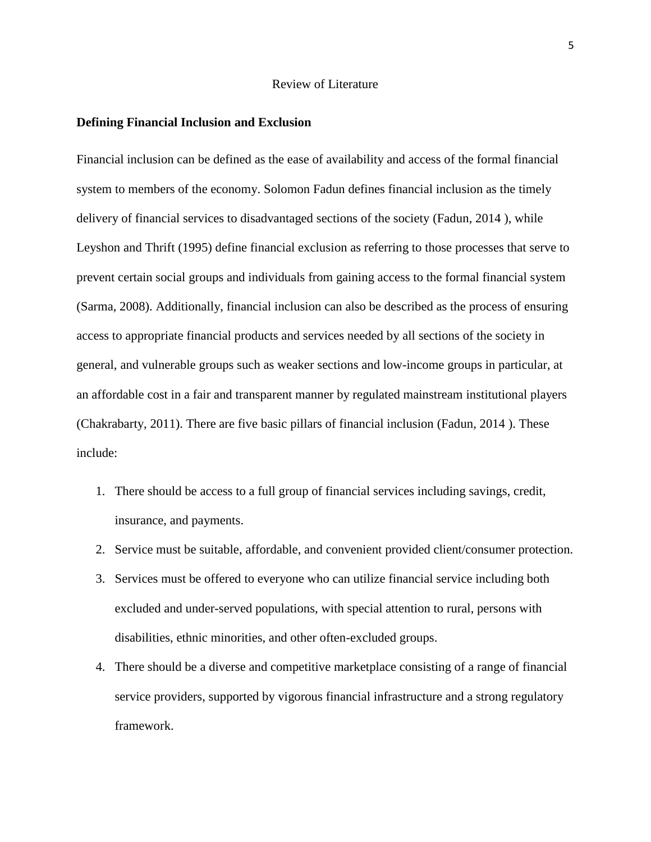### Review of Literature

#### **Defining Financial Inclusion and Exclusion**

Financial inclusion can be defined as the ease of availability and access of the formal financial system to members of the economy. Solomon Fadun defines financial inclusion as the timely delivery of financial services to disadvantaged sections of the society (Fadun, 2014 ), while Leyshon and Thrift (1995) define financial exclusion as referring to those processes that serve to prevent certain social groups and individuals from gaining access to the formal financial system (Sarma, 2008). Additionally, financial inclusion can also be described as the process of ensuring access to appropriate financial products and services needed by all sections of the society in general, and vulnerable groups such as weaker sections and low-income groups in particular, at an affordable cost in a fair and transparent manner by regulated mainstream institutional players (Chakrabarty, 2011). There are five basic pillars of financial inclusion (Fadun, 2014 ). These include:

- 1. There should be access to a full group of financial services including savings, credit, insurance, and payments.
- 2. Service must be suitable, affordable, and convenient provided client/consumer protection.
- 3. Services must be offered to everyone who can utilize financial service including both excluded and under-served populations, with special attention to rural, persons with disabilities, ethnic minorities, and other often-excluded groups.
- 4. There should be a diverse and competitive marketplace consisting of a range of financial service providers, supported by vigorous financial infrastructure and a strong regulatory framework.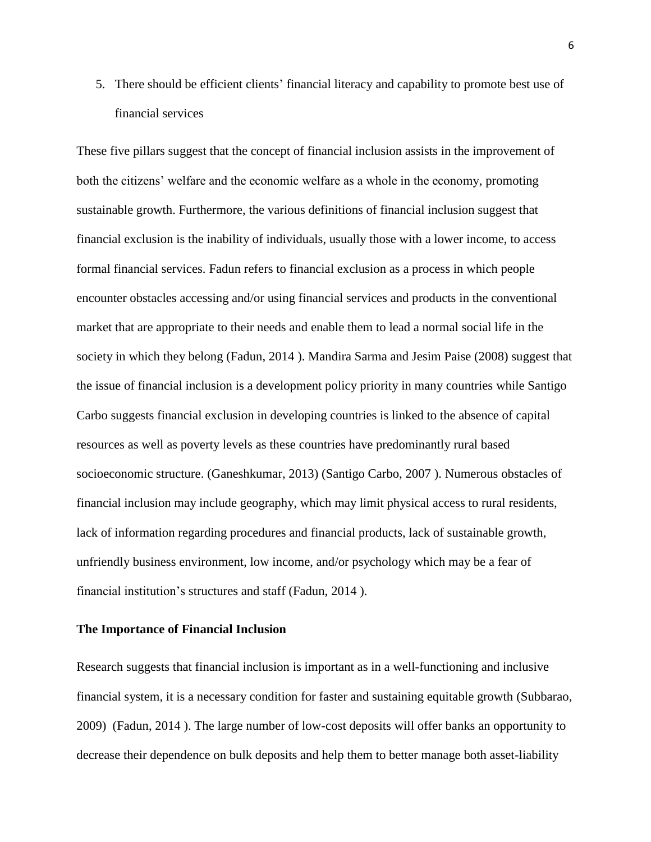5. There should be efficient clients' financial literacy and capability to promote best use of financial services

These five pillars suggest that the concept of financial inclusion assists in the improvement of both the citizens' welfare and the economic welfare as a whole in the economy, promoting sustainable growth. Furthermore, the various definitions of financial inclusion suggest that financial exclusion is the inability of individuals, usually those with a lower income, to access formal financial services. Fadun refers to financial exclusion as a process in which people encounter obstacles accessing and/or using financial services and products in the conventional market that are appropriate to their needs and enable them to lead a normal social life in the society in which they belong (Fadun, 2014 ). Mandira Sarma and Jesim Paise (2008) suggest that the issue of financial inclusion is a development policy priority in many countries while Santigo Carbo suggests financial exclusion in developing countries is linked to the absence of capital resources as well as poverty levels as these countries have predominantly rural based socioeconomic structure. (Ganeshkumar, 2013) (Santigo Carbo, 2007 ). Numerous obstacles of financial inclusion may include geography, which may limit physical access to rural residents, lack of information regarding procedures and financial products, lack of sustainable growth, unfriendly business environment, low income, and/or psychology which may be a fear of financial institution's structures and staff (Fadun, 2014 ).

#### **The Importance of Financial Inclusion**

Research suggests that financial inclusion is important as in a well-functioning and inclusive financial system, it is a necessary condition for faster and sustaining equitable growth (Subbarao, 2009) (Fadun, 2014 ). The large number of low-cost deposits will offer banks an opportunity to decrease their dependence on bulk deposits and help them to better manage both asset-liability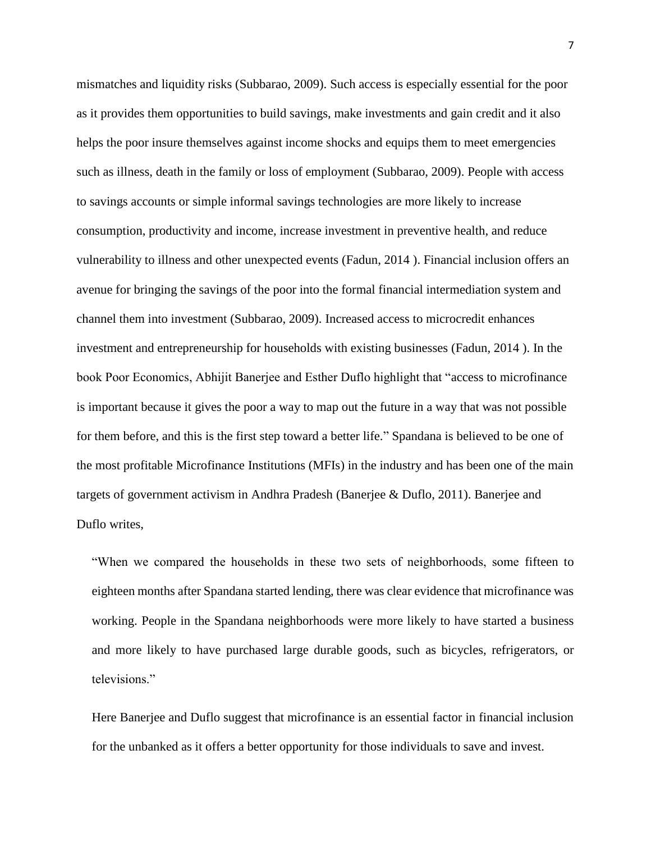mismatches and liquidity risks (Subbarao, 2009). Such access is especially essential for the poor as it provides them opportunities to build savings, make investments and gain credit and it also helps the poor insure themselves against income shocks and equips them to meet emergencies such as illness, death in the family or loss of employment (Subbarao, 2009). People with access to savings accounts or simple informal savings technologies are more likely to increase consumption, productivity and income, increase investment in preventive health, and reduce vulnerability to illness and other unexpected events (Fadun, 2014 ). Financial inclusion offers an avenue for bringing the savings of the poor into the formal financial intermediation system and channel them into investment (Subbarao, 2009). Increased access to microcredit enhances investment and entrepreneurship for households with existing businesses (Fadun, 2014 ). In the book Poor Economics, Abhijit Banerjee and Esther Duflo highlight that "access to microfinance is important because it gives the poor a way to map out the future in a way that was not possible for them before, and this is the first step toward a better life." Spandana is believed to be one of the most profitable Microfinance Institutions (MFIs) in the industry and has been one of the main targets of government activism in Andhra Pradesh (Banerjee & Duflo, 2011). Banerjee and Duflo writes,

"When we compared the households in these two sets of neighborhoods, some fifteen to eighteen months after Spandana started lending, there was clear evidence that microfinance was working. People in the Spandana neighborhoods were more likely to have started a business and more likely to have purchased large durable goods, such as bicycles, refrigerators, or televisions."

Here Banerjee and Duflo suggest that microfinance is an essential factor in financial inclusion for the unbanked as it offers a better opportunity for those individuals to save and invest.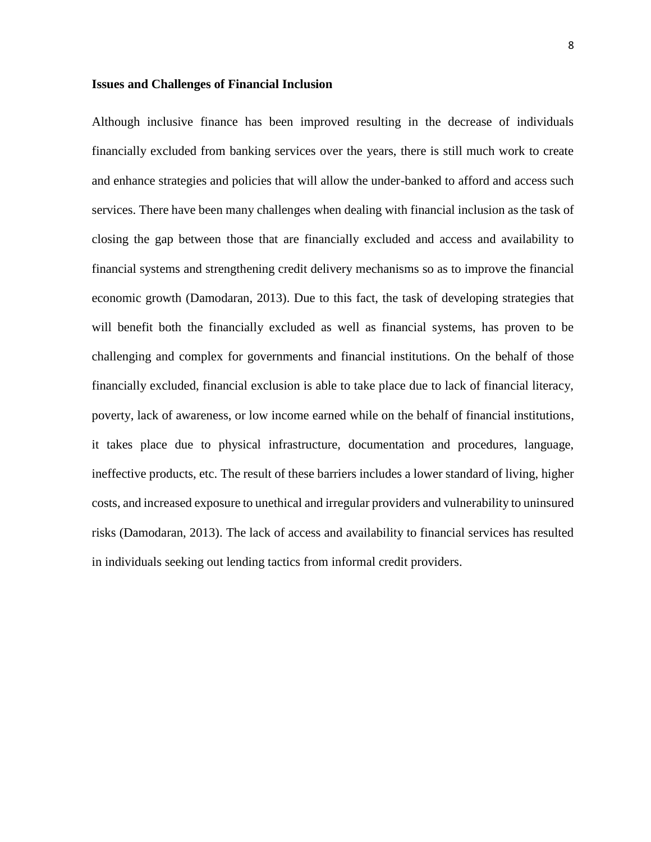### **Issues and Challenges of Financial Inclusion**

Although inclusive finance has been improved resulting in the decrease of individuals financially excluded from banking services over the years, there is still much work to create and enhance strategies and policies that will allow the under-banked to afford and access such services. There have been many challenges when dealing with financial inclusion as the task of closing the gap between those that are financially excluded and access and availability to financial systems and strengthening credit delivery mechanisms so as to improve the financial economic growth (Damodaran, 2013). Due to this fact, the task of developing strategies that will benefit both the financially excluded as well as financial systems, has proven to be challenging and complex for governments and financial institutions. On the behalf of those financially excluded, financial exclusion is able to take place due to lack of financial literacy, poverty, lack of awareness, or low income earned while on the behalf of financial institutions, it takes place due to physical infrastructure, documentation and procedures, language, ineffective products, etc. The result of these barriers includes a lower standard of living, higher costs, and increased exposure to unethical and irregular providers and vulnerability to uninsured risks (Damodaran, 2013). The lack of access and availability to financial services has resulted in individuals seeking out lending tactics from informal credit providers.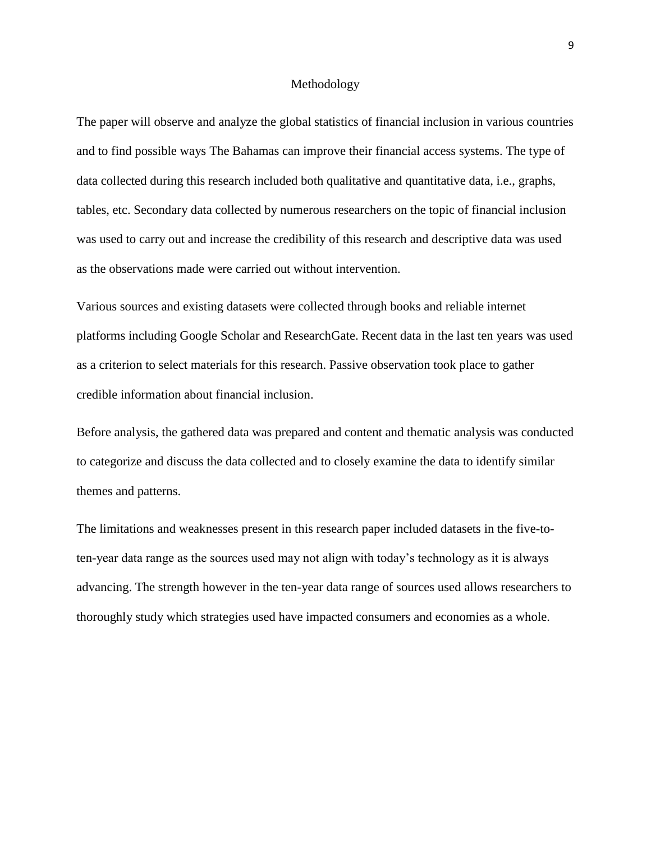#### Methodology

The paper will observe and analyze the global statistics of financial inclusion in various countries and to find possible ways The Bahamas can improve their financial access systems. The type of data collected during this research included both qualitative and quantitative data, i.e., graphs, tables, etc. Secondary data collected by numerous researchers on the topic of financial inclusion was used to carry out and increase the credibility of this research and descriptive data was used as the observations made were carried out without intervention.

Various sources and existing datasets were collected through books and reliable internet platforms including Google Scholar and ResearchGate. Recent data in the last ten years was used as a criterion to select materials for this research. Passive observation took place to gather credible information about financial inclusion.

Before analysis, the gathered data was prepared and content and thematic analysis was conducted to categorize and discuss the data collected and to closely examine the data to identify similar themes and patterns.

The limitations and weaknesses present in this research paper included datasets in the five-toten-year data range as the sources used may not align with today's technology as it is always advancing. The strength however in the ten-year data range of sources used allows researchers to thoroughly study which strategies used have impacted consumers and economies as a whole.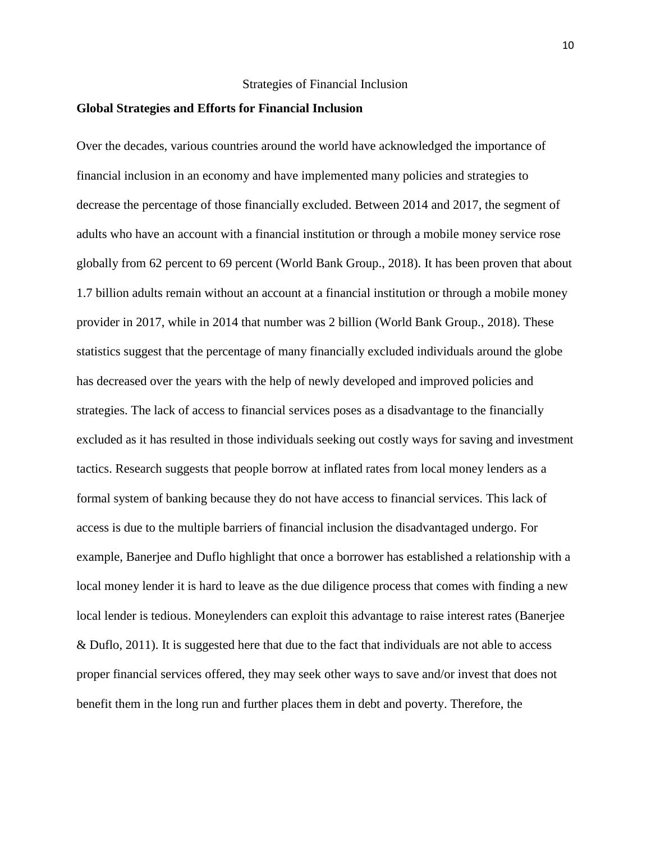### Strategies of Financial Inclusion

### **Global Strategies and Efforts for Financial Inclusion**

Over the decades, various countries around the world have acknowledged the importance of financial inclusion in an economy and have implemented many policies and strategies to decrease the percentage of those financially excluded. Between 2014 and 2017, the segment of adults who have an account with a financial institution or through a mobile money service rose globally from 62 percent to 69 percent (World Bank Group., 2018). It has been proven that about 1.7 billion adults remain without an account at a financial institution or through a mobile money provider in 2017, while in 2014 that number was 2 billion (World Bank Group., 2018). These statistics suggest that the percentage of many financially excluded individuals around the globe has decreased over the years with the help of newly developed and improved policies and strategies. The lack of access to financial services poses as a disadvantage to the financially excluded as it has resulted in those individuals seeking out costly ways for saving and investment tactics. Research suggests that people borrow at inflated rates from local money lenders as a formal system of banking because they do not have access to financial services. This lack of access is due to the multiple barriers of financial inclusion the disadvantaged undergo. For example, Banerjee and Duflo highlight that once a borrower has established a relationship with a local money lender it is hard to leave as the due diligence process that comes with finding a new local lender is tedious. Moneylenders can exploit this advantage to raise interest rates (Banerjee & Duflo, 2011). It is suggested here that due to the fact that individuals are not able to access proper financial services offered, they may seek other ways to save and/or invest that does not benefit them in the long run and further places them in debt and poverty. Therefore, the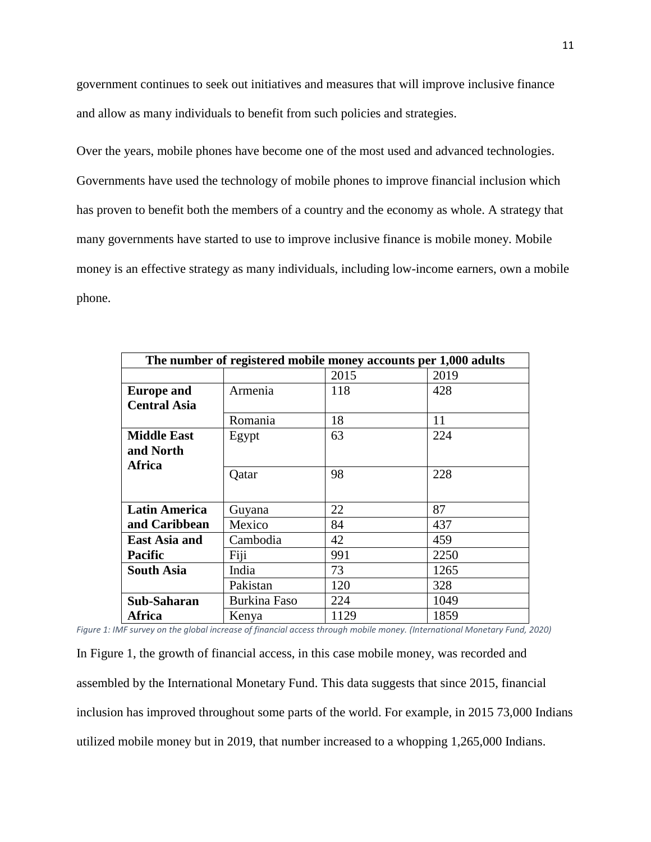government continues to seek out initiatives and measures that will improve inclusive finance and allow as many individuals to benefit from such policies and strategies.

Over the years, mobile phones have become one of the most used and advanced technologies. Governments have used the technology of mobile phones to improve financial inclusion which has proven to benefit both the members of a country and the economy as whole. A strategy that many governments have started to use to improve inclusive finance is mobile money. Mobile money is an effective strategy as many individuals, including low-income earners, own a mobile phone.

| The number of registered mobile money accounts per 1,000 adults |                     |      |      |  |
|-----------------------------------------------------------------|---------------------|------|------|--|
|                                                                 |                     | 2015 | 2019 |  |
| <b>Europe and</b>                                               | Armenia             | 118  | 428  |  |
| <b>Central Asia</b>                                             |                     |      |      |  |
|                                                                 | Romania             | 18   | 11   |  |
| <b>Middle East</b>                                              | Egypt               | 63   | 224  |  |
| and North                                                       |                     |      |      |  |
| Africa                                                          |                     | 98   | 228  |  |
|                                                                 | Qatar               |      |      |  |
|                                                                 |                     |      |      |  |
| <b>Latin America</b>                                            | Guyana              | 22   | 87   |  |
| and Caribbean                                                   | Mexico              | 84   | 437  |  |
| <b>East Asia and</b>                                            | Cambodia            | 42   | 459  |  |
| <b>Pacific</b>                                                  | Fiji                | 991  | 2250 |  |
| <b>South Asia</b>                                               | India               | 73   | 1265 |  |
|                                                                 | Pakistan            | 120  | 328  |  |
| Sub-Saharan                                                     | <b>Burkina Faso</b> | 224  | 1049 |  |
| Africa                                                          | Kenya               | 1129 | 1859 |  |

*Figure 1: IMF survey on the global increase of financial access through mobile money. (International Monetary Fund, 2020)*

In Figure 1, the growth of financial access, in this case mobile money, was recorded and assembled by the International Monetary Fund. This data suggests that since 2015, financial inclusion has improved throughout some parts of the world. For example, in 2015 73,000 Indians utilized mobile money but in 2019, that number increased to a whopping 1,265,000 Indians.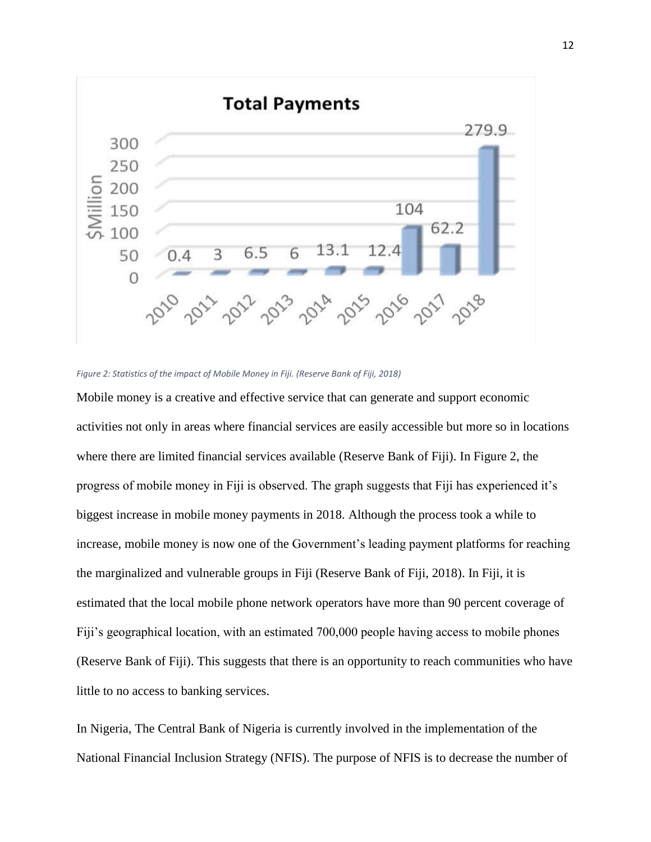

*Figure 2: Statistics of the impact of Mobile Money in Fiji. (Reserve Bank of Fiji, 2018)*

Mobile money is a creative and effective service that can generate and support economic activities not only in areas where financial services are easily accessible but more so in locations where there are limited financial services available (Reserve Bank of Fiji). In Figure 2, the progress of mobile money in Fiji is observed. The graph suggests that Fiji has experienced it's biggest increase in mobile money payments in 2018. Although the process took a while to increase, mobile money is now one of the Government's leading payment platforms for reaching the marginalized and vulnerable groups in Fiji (Reserve Bank of Fiji, 2018). In Fiji, it is estimated that the local mobile phone network operators have more than 90 percent coverage of Fiji's geographical location, with an estimated 700,000 people having access to mobile phones (Reserve Bank of Fiji). This suggests that there is an opportunity to reach communities who have little to no access to banking services.

In Nigeria, The Central Bank of Nigeria is currently involved in the implementation of the National Financial Inclusion Strategy (NFIS). The purpose of NFIS is to decrease the number of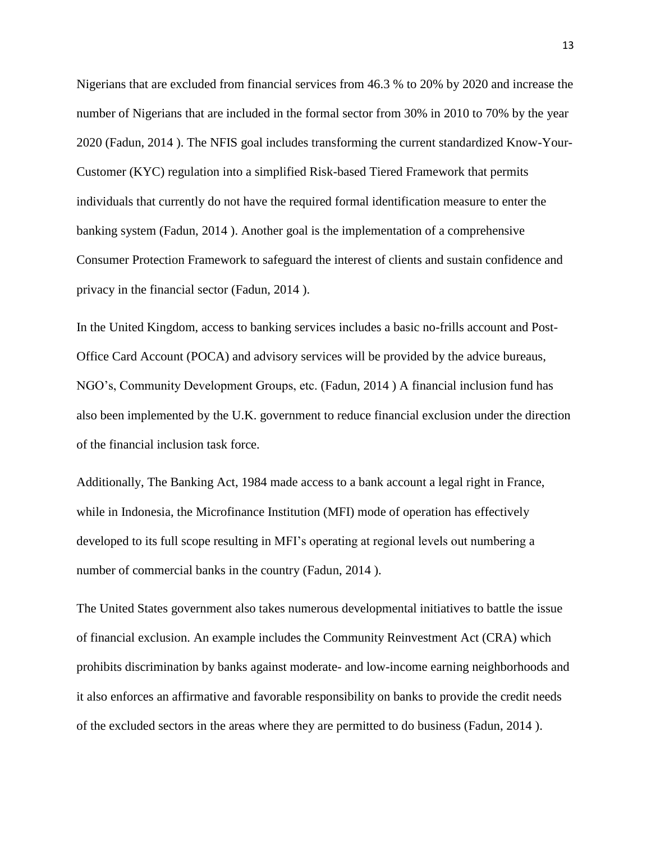Nigerians that are excluded from financial services from 46.3 % to 20% by 2020 and increase the number of Nigerians that are included in the formal sector from 30% in 2010 to 70% by the year 2020 (Fadun, 2014 ). The NFIS goal includes transforming the current standardized Know-Your-Customer (KYC) regulation into a simplified Risk-based Tiered Framework that permits individuals that currently do not have the required formal identification measure to enter the banking system (Fadun, 2014 ). Another goal is the implementation of a comprehensive Consumer Protection Framework to safeguard the interest of clients and sustain confidence and privacy in the financial sector (Fadun, 2014 ).

In the United Kingdom, access to banking services includes a basic no-frills account and Post-Office Card Account (POCA) and advisory services will be provided by the advice bureaus, NGO's, Community Development Groups, etc. (Fadun, 2014 ) A financial inclusion fund has also been implemented by the U.K. government to reduce financial exclusion under the direction of the financial inclusion task force.

Additionally, The Banking Act, 1984 made access to a bank account a legal right in France, while in Indonesia, the Microfinance Institution (MFI) mode of operation has effectively developed to its full scope resulting in MFI's operating at regional levels out numbering a number of commercial banks in the country (Fadun, 2014 ).

The United States government also takes numerous developmental initiatives to battle the issue of financial exclusion. An example includes the Community Reinvestment Act (CRA) which prohibits discrimination by banks against moderate- and low-income earning neighborhoods and it also enforces an affirmative and favorable responsibility on banks to provide the credit needs of the excluded sectors in the areas where they are permitted to do business (Fadun, 2014 ).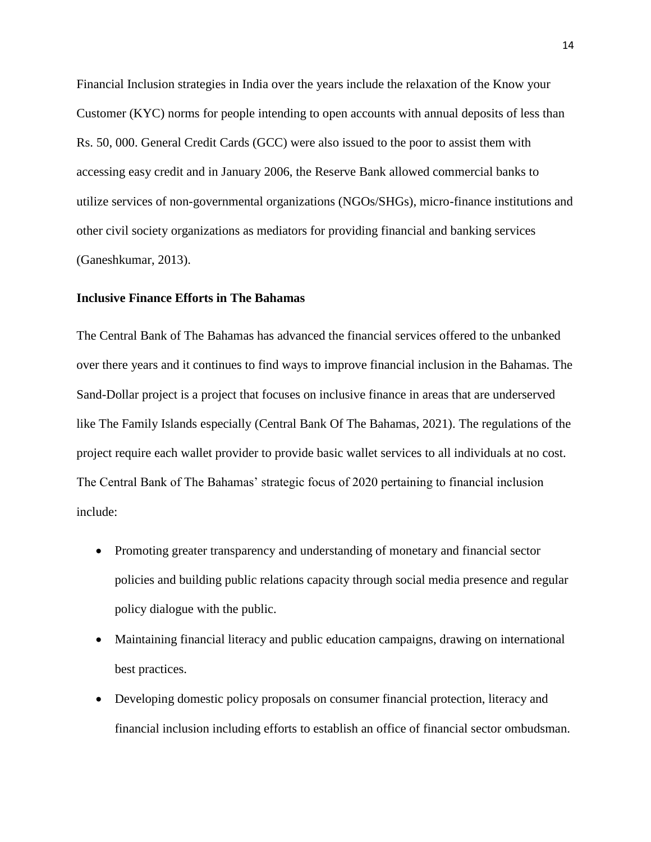Financial Inclusion strategies in India over the years include the relaxation of the Know your Customer (KYC) norms for people intending to open accounts with annual deposits of less than Rs. 50, 000. General Credit Cards (GCC) were also issued to the poor to assist them with accessing easy credit and in January 2006, the Reserve Bank allowed commercial banks to utilize services of non-governmental organizations (NGOs/SHGs), micro-finance institutions and other civil society organizations as mediators for providing financial and banking services (Ganeshkumar, 2013).

# **Inclusive Finance Efforts in The Bahamas**

The Central Bank of The Bahamas has advanced the financial services offered to the unbanked over there years and it continues to find ways to improve financial inclusion in the Bahamas. The Sand-Dollar project is a project that focuses on inclusive finance in areas that are underserved like The Family Islands especially (Central Bank Of The Bahamas, 2021). The regulations of the project require each wallet provider to provide basic wallet services to all individuals at no cost. The Central Bank of The Bahamas' strategic focus of 2020 pertaining to financial inclusion include:

- Promoting greater transparency and understanding of monetary and financial sector policies and building public relations capacity through social media presence and regular policy dialogue with the public.
- Maintaining financial literacy and public education campaigns, drawing on international best practices.
- Developing domestic policy proposals on consumer financial protection, literacy and financial inclusion including efforts to establish an office of financial sector ombudsman.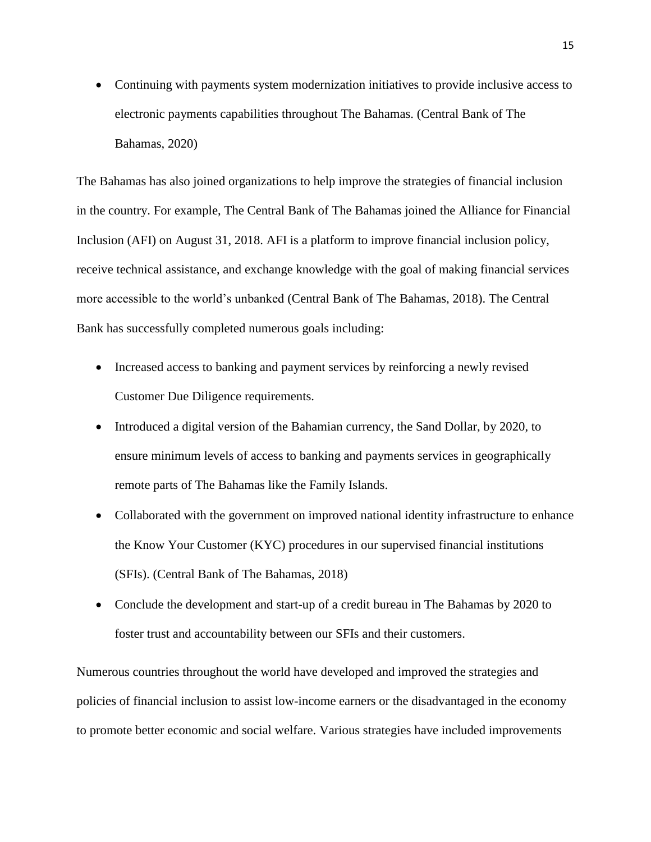Continuing with payments system modernization initiatives to provide inclusive access to electronic payments capabilities throughout The Bahamas. (Central Bank of The Bahamas, 2020)

The Bahamas has also joined organizations to help improve the strategies of financial inclusion in the country. For example, The Central Bank of The Bahamas joined the Alliance for Financial Inclusion (AFI) on August 31, 2018. AFI is a platform to improve financial inclusion policy, receive technical assistance, and exchange knowledge with the goal of making financial services more accessible to the world's unbanked (Central Bank of The Bahamas, 2018). The Central Bank has successfully completed numerous goals including:

- Increased access to banking and payment services by reinforcing a newly revised Customer Due Diligence requirements.
- Introduced a digital version of the Bahamian currency, the Sand Dollar, by 2020, to ensure minimum levels of access to banking and payments services in geographically remote parts of The Bahamas like the Family Islands.
- Collaborated with the government on improved national identity infrastructure to enhance the Know Your Customer (KYC) procedures in our supervised financial institutions (SFIs). (Central Bank of The Bahamas, 2018)
- Conclude the development and start-up of a credit bureau in The Bahamas by 2020 to foster trust and accountability between our SFIs and their customers.

Numerous countries throughout the world have developed and improved the strategies and policies of financial inclusion to assist low-income earners or the disadvantaged in the economy to promote better economic and social welfare. Various strategies have included improvements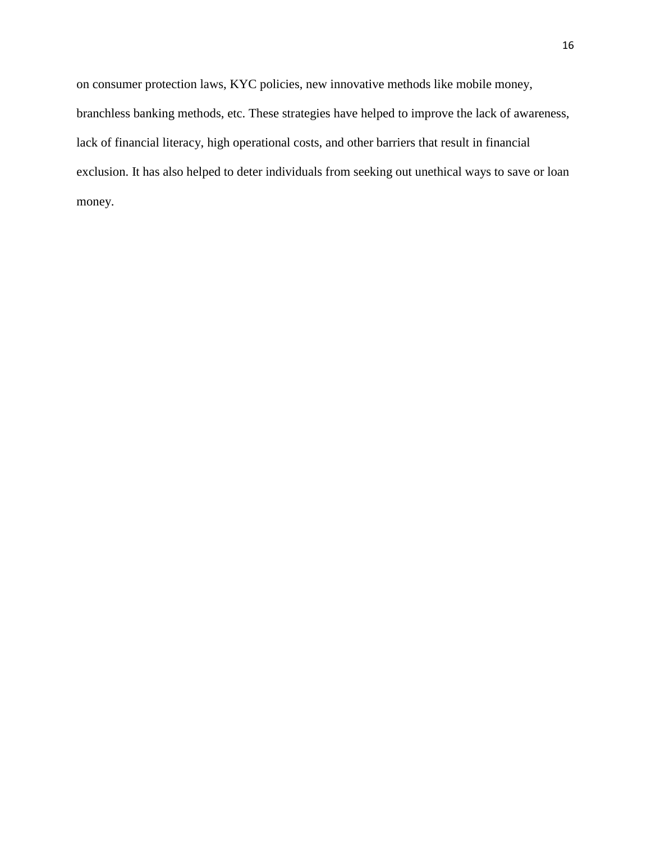on consumer protection laws, KYC policies, new innovative methods like mobile money, branchless banking methods, etc. These strategies have helped to improve the lack of awareness, lack of financial literacy, high operational costs, and other barriers that result in financial exclusion. It has also helped to deter individuals from seeking out unethical ways to save or loan money.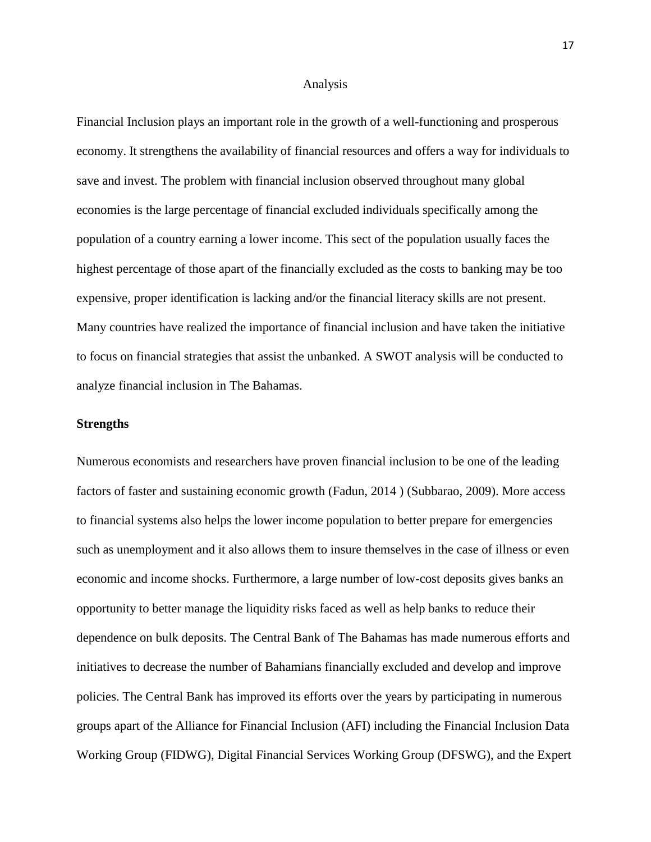#### Analysis

Financial Inclusion plays an important role in the growth of a well-functioning and prosperous economy. It strengthens the availability of financial resources and offers a way for individuals to save and invest. The problem with financial inclusion observed throughout many global economies is the large percentage of financial excluded individuals specifically among the population of a country earning a lower income. This sect of the population usually faces the highest percentage of those apart of the financially excluded as the costs to banking may be too expensive, proper identification is lacking and/or the financial literacy skills are not present. Many countries have realized the importance of financial inclusion and have taken the initiative to focus on financial strategies that assist the unbanked. A SWOT analysis will be conducted to analyze financial inclusion in The Bahamas.

### **Strengths**

Numerous economists and researchers have proven financial inclusion to be one of the leading factors of faster and sustaining economic growth (Fadun, 2014 ) (Subbarao, 2009). More access to financial systems also helps the lower income population to better prepare for emergencies such as unemployment and it also allows them to insure themselves in the case of illness or even economic and income shocks. Furthermore, a large number of low-cost deposits gives banks an opportunity to better manage the liquidity risks faced as well as help banks to reduce their dependence on bulk deposits. The Central Bank of The Bahamas has made numerous efforts and initiatives to decrease the number of Bahamians financially excluded and develop and improve policies. The Central Bank has improved its efforts over the years by participating in numerous groups apart of the Alliance for Financial Inclusion (AFI) including the Financial Inclusion Data Working Group (FIDWG), Digital Financial Services Working Group (DFSWG), and the Expert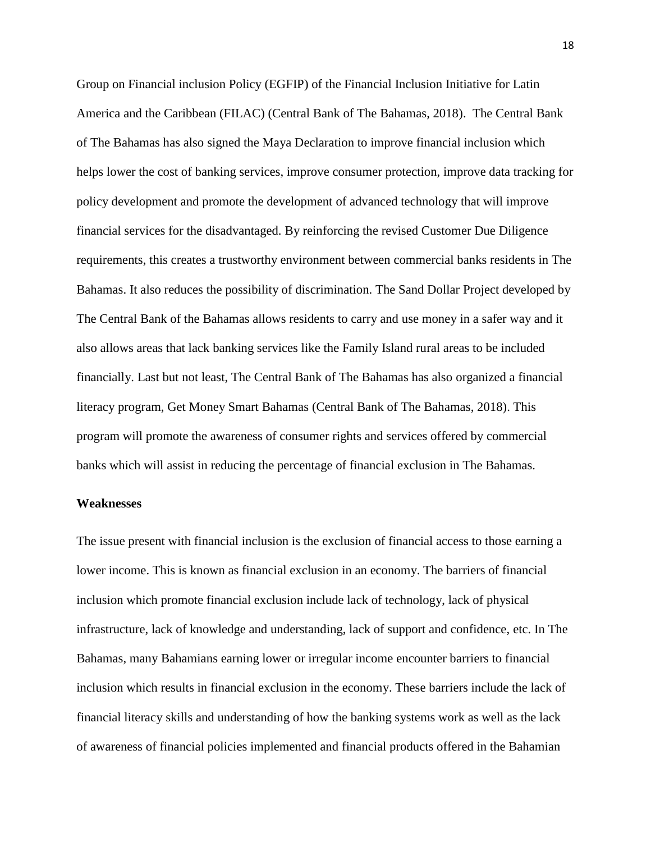Group on Financial inclusion Policy (EGFIP) of the Financial Inclusion Initiative for Latin America and the Caribbean (FILAC) (Central Bank of The Bahamas, 2018). The Central Bank of The Bahamas has also signed the Maya Declaration to improve financial inclusion which helps lower the cost of banking services, improve consumer protection, improve data tracking for policy development and promote the development of advanced technology that will improve financial services for the disadvantaged. By reinforcing the revised Customer Due Diligence requirements, this creates a trustworthy environment between commercial banks residents in The Bahamas. It also reduces the possibility of discrimination. The Sand Dollar Project developed by The Central Bank of the Bahamas allows residents to carry and use money in a safer way and it also allows areas that lack banking services like the Family Island rural areas to be included financially. Last but not least, The Central Bank of The Bahamas has also organized a financial literacy program, Get Money Smart Bahamas (Central Bank of The Bahamas, 2018). This program will promote the awareness of consumer rights and services offered by commercial banks which will assist in reducing the percentage of financial exclusion in The Bahamas.

#### **Weaknesses**

The issue present with financial inclusion is the exclusion of financial access to those earning a lower income. This is known as financial exclusion in an economy. The barriers of financial inclusion which promote financial exclusion include lack of technology, lack of physical infrastructure, lack of knowledge and understanding, lack of support and confidence, etc. In The Bahamas, many Bahamians earning lower or irregular income encounter barriers to financial inclusion which results in financial exclusion in the economy. These barriers include the lack of financial literacy skills and understanding of how the banking systems work as well as the lack of awareness of financial policies implemented and financial products offered in the Bahamian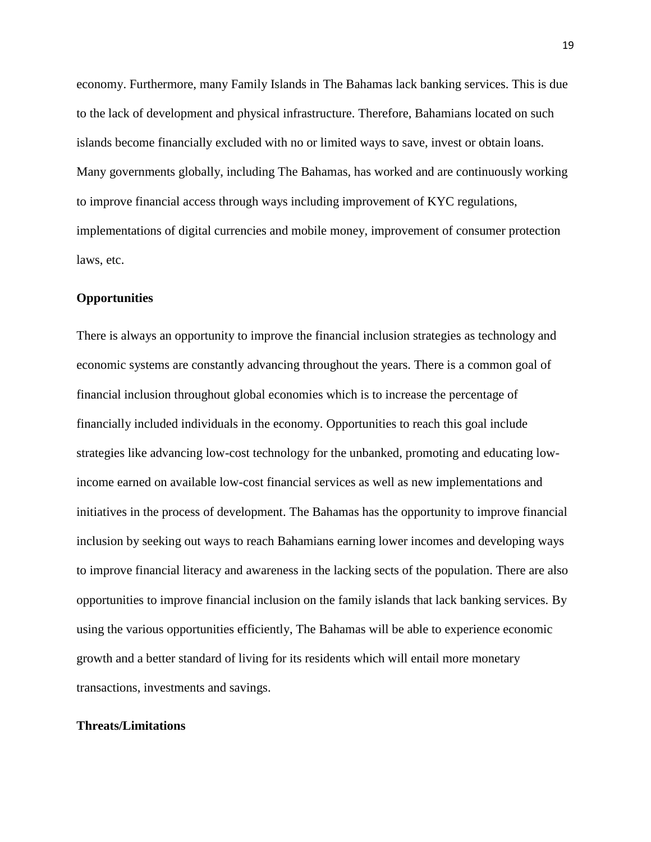economy. Furthermore, many Family Islands in The Bahamas lack banking services. This is due to the lack of development and physical infrastructure. Therefore, Bahamians located on such islands become financially excluded with no or limited ways to save, invest or obtain loans. Many governments globally, including The Bahamas, has worked and are continuously working to improve financial access through ways including improvement of KYC regulations, implementations of digital currencies and mobile money, improvement of consumer protection laws, etc.

## **Opportunities**

There is always an opportunity to improve the financial inclusion strategies as technology and economic systems are constantly advancing throughout the years. There is a common goal of financial inclusion throughout global economies which is to increase the percentage of financially included individuals in the economy. Opportunities to reach this goal include strategies like advancing low-cost technology for the unbanked, promoting and educating lowincome earned on available low-cost financial services as well as new implementations and initiatives in the process of development. The Bahamas has the opportunity to improve financial inclusion by seeking out ways to reach Bahamians earning lower incomes and developing ways to improve financial literacy and awareness in the lacking sects of the population. There are also opportunities to improve financial inclusion on the family islands that lack banking services. By using the various opportunities efficiently, The Bahamas will be able to experience economic growth and a better standard of living for its residents which will entail more monetary transactions, investments and savings.

# **Threats/Limitations**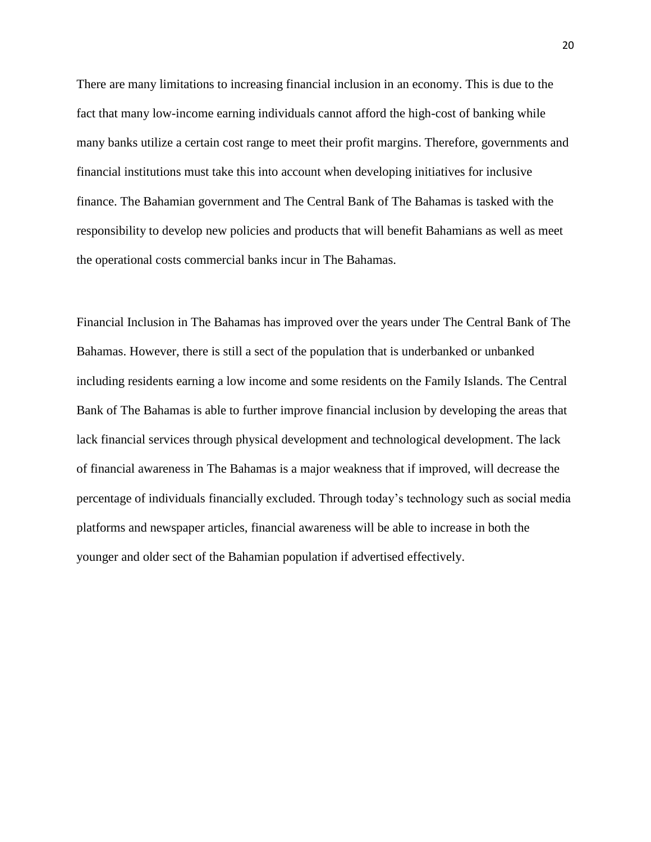There are many limitations to increasing financial inclusion in an economy. This is due to the fact that many low-income earning individuals cannot afford the high-cost of banking while many banks utilize a certain cost range to meet their profit margins. Therefore, governments and financial institutions must take this into account when developing initiatives for inclusive finance. The Bahamian government and The Central Bank of The Bahamas is tasked with the responsibility to develop new policies and products that will benefit Bahamians as well as meet the operational costs commercial banks incur in The Bahamas.

Financial Inclusion in The Bahamas has improved over the years under The Central Bank of The Bahamas. However, there is still a sect of the population that is underbanked or unbanked including residents earning a low income and some residents on the Family Islands. The Central Bank of The Bahamas is able to further improve financial inclusion by developing the areas that lack financial services through physical development and technological development. The lack of financial awareness in The Bahamas is a major weakness that if improved, will decrease the percentage of individuals financially excluded. Through today's technology such as social media platforms and newspaper articles, financial awareness will be able to increase in both the younger and older sect of the Bahamian population if advertised effectively.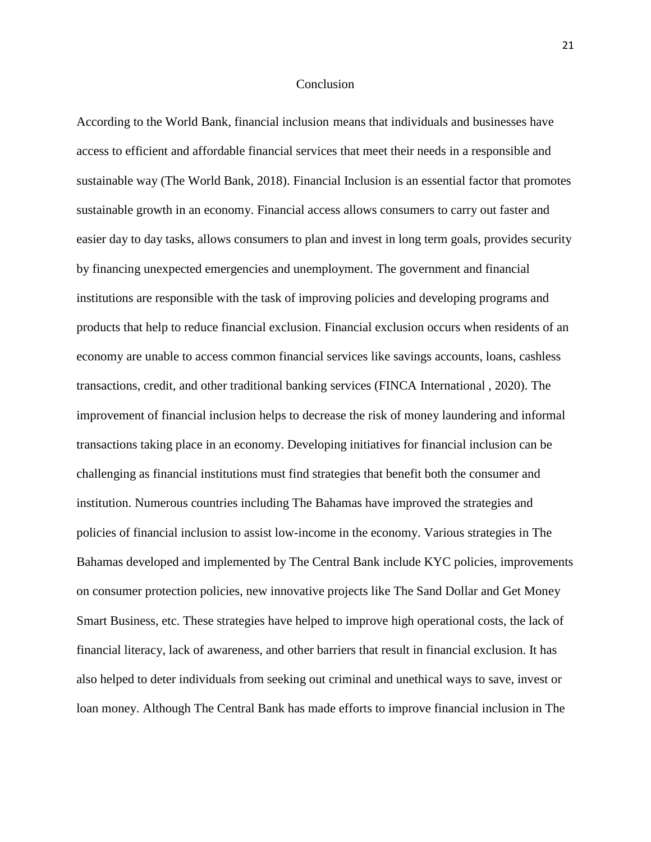### Conclusion

According to the World Bank, financial inclusion means that individuals and businesses have access to efficient and affordable financial services that meet their needs in a responsible and sustainable way (The World Bank, 2018). Financial Inclusion is an essential factor that promotes sustainable growth in an economy. Financial access allows consumers to carry out faster and easier day to day tasks, allows consumers to plan and invest in long term goals, provides security by financing unexpected emergencies and unemployment. The government and financial institutions are responsible with the task of improving policies and developing programs and products that help to reduce financial exclusion. Financial exclusion occurs when residents of an economy are unable to access common financial services like savings accounts, loans, cashless transactions, credit, and other traditional banking services (FINCA International , 2020). The improvement of financial inclusion helps to decrease the risk of money laundering and informal transactions taking place in an economy. Developing initiatives for financial inclusion can be challenging as financial institutions must find strategies that benefit both the consumer and institution. Numerous countries including The Bahamas have improved the strategies and policies of financial inclusion to assist low-income in the economy. Various strategies in The Bahamas developed and implemented by The Central Bank include KYC policies, improvements on consumer protection policies, new innovative projects like The Sand Dollar and Get Money Smart Business, etc. These strategies have helped to improve high operational costs, the lack of financial literacy, lack of awareness, and other barriers that result in financial exclusion. It has also helped to deter individuals from seeking out criminal and unethical ways to save, invest or loan money. Although The Central Bank has made efforts to improve financial inclusion in The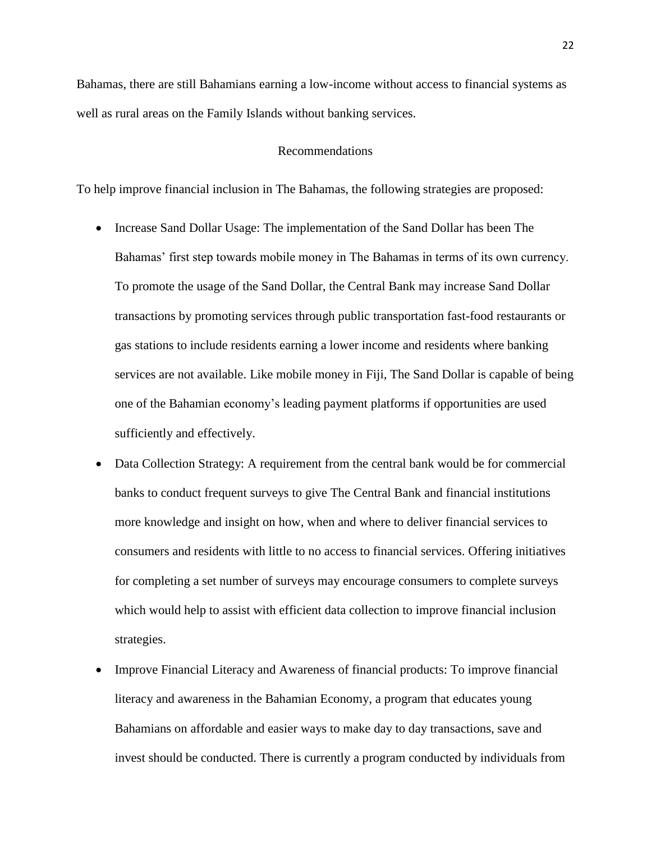Bahamas, there are still Bahamians earning a low-income without access to financial systems as well as rural areas on the Family Islands without banking services.

### Recommendations

To help improve financial inclusion in The Bahamas, the following strategies are proposed:

- Increase Sand Dollar Usage: The implementation of the Sand Dollar has been The Bahamas' first step towards mobile money in The Bahamas in terms of its own currency. To promote the usage of the Sand Dollar, the Central Bank may increase Sand Dollar transactions by promoting services through public transportation fast-food restaurants or gas stations to include residents earning a lower income and residents where banking services are not available. Like mobile money in Fiji, The Sand Dollar is capable of being one of the Bahamian economy's leading payment platforms if opportunities are used sufficiently and effectively.
- Data Collection Strategy: A requirement from the central bank would be for commercial banks to conduct frequent surveys to give The Central Bank and financial institutions more knowledge and insight on how, when and where to deliver financial services to consumers and residents with little to no access to financial services. Offering initiatives for completing a set number of surveys may encourage consumers to complete surveys which would help to assist with efficient data collection to improve financial inclusion strategies.
- Improve Financial Literacy and Awareness of financial products: To improve financial literacy and awareness in the Bahamian Economy, a program that educates young Bahamians on affordable and easier ways to make day to day transactions, save and invest should be conducted. There is currently a program conducted by individuals from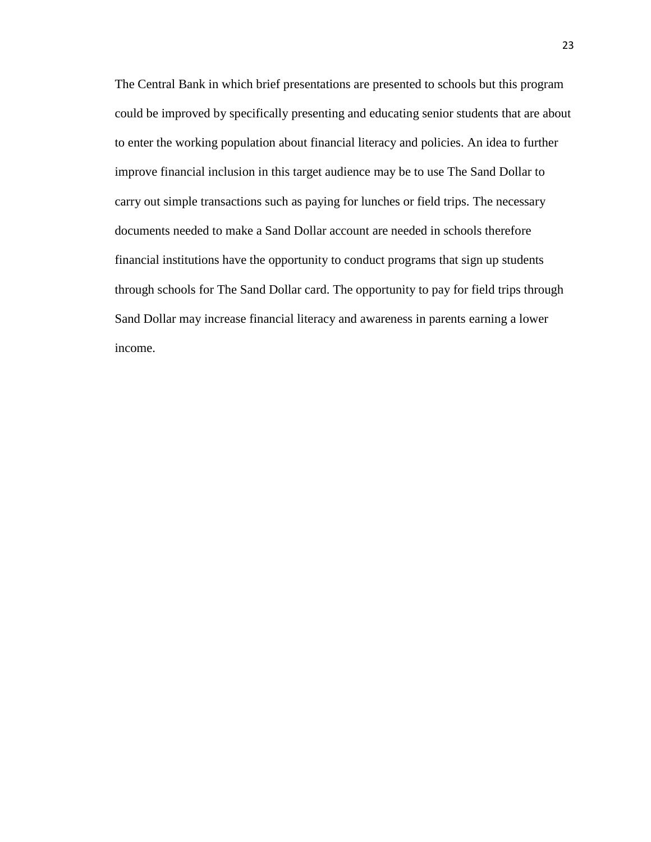The Central Bank in which brief presentations are presented to schools but this program could be improved by specifically presenting and educating senior students that are about to enter the working population about financial literacy and policies. An idea to further improve financial inclusion in this target audience may be to use The Sand Dollar to carry out simple transactions such as paying for lunches or field trips. The necessary documents needed to make a Sand Dollar account are needed in schools therefore financial institutions have the opportunity to conduct programs that sign up students through schools for The Sand Dollar card. The opportunity to pay for field trips through Sand Dollar may increase financial literacy and awareness in parents earning a lower income.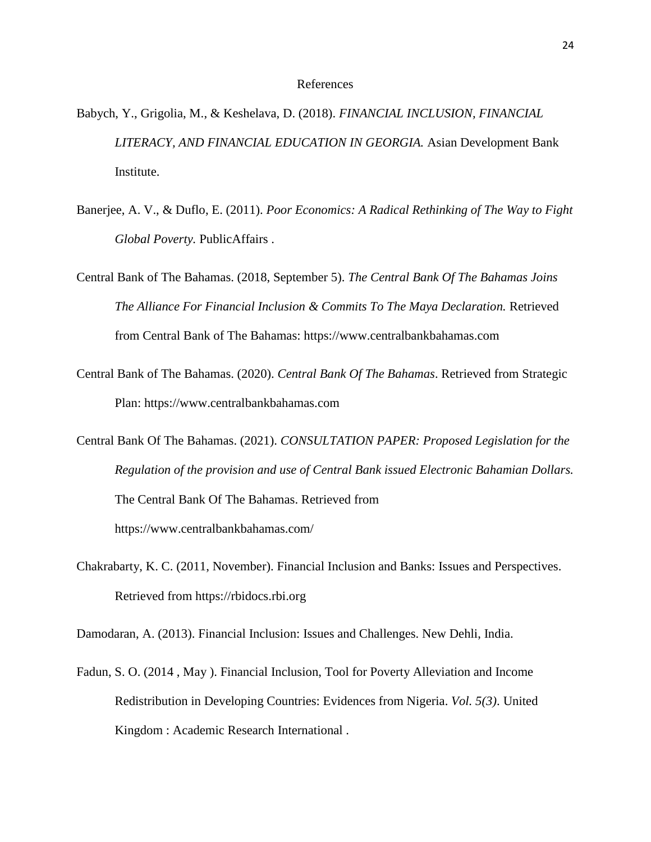#### References

- Babych, Y., Grigolia, M., & Keshelava, D. (2018). *FINANCIAL INCLUSION, FINANCIAL LITERACY, AND FINANCIAL EDUCATION IN GEORGIA.* Asian Development Bank Institute.
- Banerjee, A. V., & Duflo, E. (2011). *Poor Economics: A Radical Rethinking of The Way to Fight Global Poverty.* PublicAffairs .
- Central Bank of The Bahamas. (2018, September 5). *The Central Bank Of The Bahamas Joins The Alliance For Financial Inclusion & Commits To The Maya Declaration.* Retrieved from Central Bank of The Bahamas: https://www.centralbankbahamas.com
- Central Bank of The Bahamas. (2020). *Central Bank Of The Bahamas*. Retrieved from Strategic Plan: https://www.centralbankbahamas.com
- Central Bank Of The Bahamas. (2021). *CONSULTATION PAPER: Proposed Legislation for the Regulation of the provision and use of Central Bank issued Electronic Bahamian Dollars.* The Central Bank Of The Bahamas. Retrieved from https://www.centralbankbahamas.com/
- Chakrabarty, K. C. (2011, November). Financial Inclusion and Banks: Issues and Perspectives. Retrieved from https://rbidocs.rbi.org
- Damodaran, A. (2013). Financial Inclusion: Issues and Challenges. New Dehli, India.
- Fadun, S. O. (2014 , May ). Financial Inclusion, Tool for Poverty Alleviation and Income Redistribution in Developing Countries: Evidences from Nigeria. *Vol. 5(3)*. United Kingdom : Academic Research International .